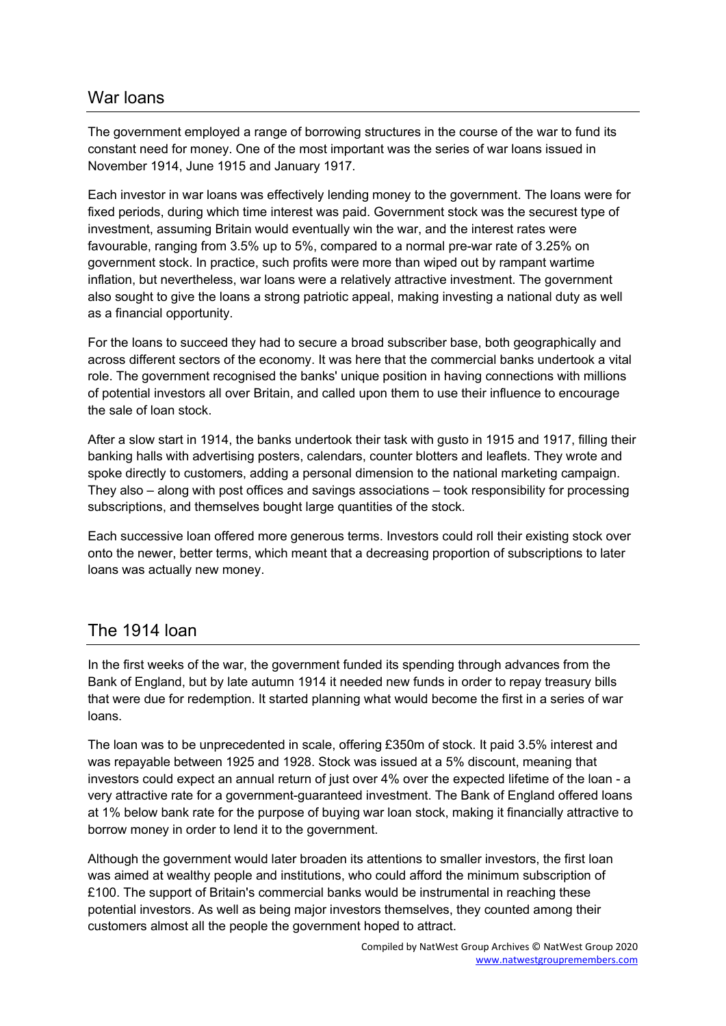## War loans

The government employed a range of borrowing structures in the course of the war to fund its constant need for money. One of the most important was the series of war loans issued in November 1914, June 1915 and January 1917.

Each investor in war loans was effectively lending money to the government. The loans were for fixed periods, during which time interest was paid. Government stock was the securest type of investment, assuming Britain would eventually win the war, and the interest rates were favourable, ranging from 3.5% up to 5%, compared to a normal pre-war rate of 3.25% on government stock. In practice, such profits were more than wiped out by rampant wartime inflation, but nevertheless, war loans were a relatively attractive investment. The government also sought to give the loans a strong patriotic appeal, making investing a national duty as well as a financial opportunity.

For the loans to succeed they had to secure a broad subscriber base, both geographically and across different sectors of the economy. It was here that the commercial banks undertook a vital role. The government recognised the banks' unique position in having connections with millions of potential investors all over Britain, and called upon them to use their influence to encourage the sale of loan stock.

After a slow start in 1914, the banks undertook their task with gusto in 1915 and 1917, filling their banking halls with advertising posters, calendars, counter blotters and leaflets. They wrote and spoke directly to customers, adding a personal dimension to the national marketing campaign. They also – along with post offices and savings associations – took responsibility for processing subscriptions, and themselves bought large quantities of the stock.

Each successive loan offered more generous terms. Investors could roll their existing stock over onto the newer, better terms, which meant that a decreasing proportion of subscriptions to later loans was actually new money.

## The 1914 loan

In the first weeks of the war, the government funded its spending through advances from the Bank of England, but by late autumn 1914 it needed new funds in order to repay treasury bills that were due for redemption. It started planning what would become the first in a series of war loans.

The loan was to be unprecedented in scale, offering £350m of stock. It paid 3.5% interest and was repayable between 1925 and 1928. Stock was issued at a 5% discount, meaning that investors could expect an annual return of just over 4% over the expected lifetime of the loan - a very attractive rate for a government-guaranteed investment. The Bank of England offered loans at 1% below bank rate for the purpose of buying war loan stock, making it financially attractive to borrow money in order to lend it to the government.

Although the government would later broaden its attentions to smaller investors, the first loan was aimed at wealthy people and institutions, who could afford the minimum subscription of £100. The support of Britain's commercial banks would be instrumental in reaching these potential investors. As well as being major investors themselves, they counted among their customers almost all the people the government hoped to attract.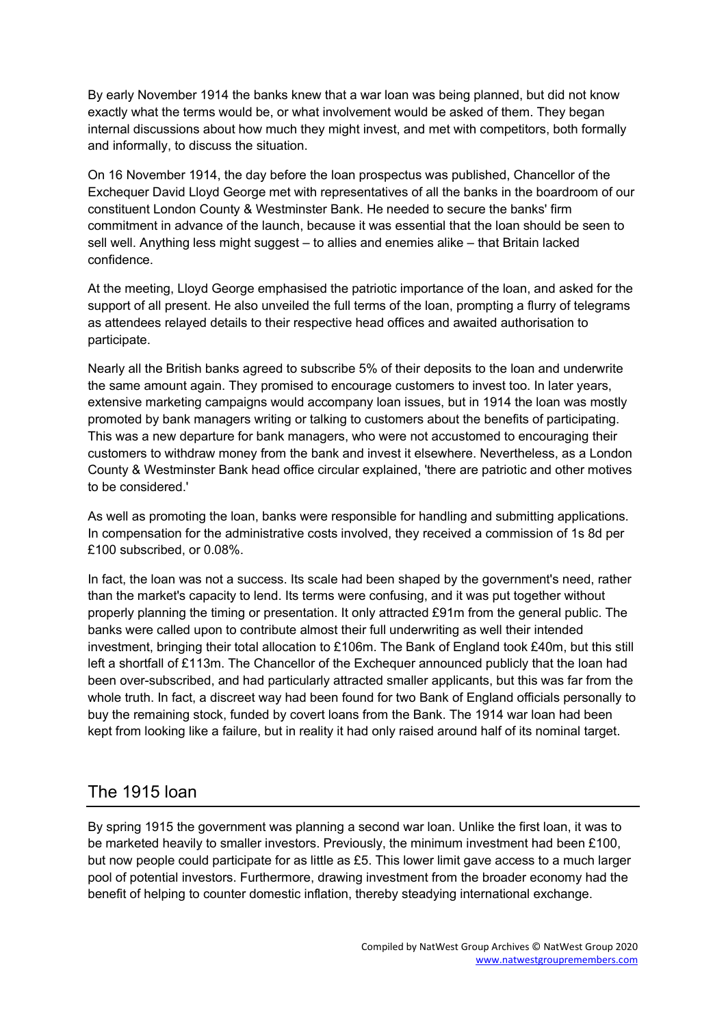By early November 1914 the banks knew that a war loan was being planned, but did not know exactly what the terms would be, or what involvement would be asked of them. They began internal discussions about how much they might invest, and met with competitors, both formally and informally, to discuss the situation.

On 16 November 1914, the day before the loan prospectus was published, Chancellor of the Exchequer David Lloyd George met with representatives of all the banks in the boardroom of our constituent London County & Westminster Bank. He needed to secure the banks' firm commitment in advance of the launch, because it was essential that the loan should be seen to sell well. Anything less might suggest – to allies and enemies alike – that Britain lacked confidence.

At the meeting, Lloyd George emphasised the patriotic importance of the loan, and asked for the support of all present. He also unveiled the full terms of the loan, prompting a flurry of telegrams as attendees relayed details to their respective head offices and awaited authorisation to participate.

Nearly all the British banks agreed to subscribe 5% of their deposits to the loan and underwrite the same amount again. They promised to encourage customers to invest too. In later years, extensive marketing campaigns would accompany loan issues, but in 1914 the loan was mostly promoted by bank managers writing or talking to customers about the benefits of participating. This was a new departure for bank managers, who were not accustomed to encouraging their customers to withdraw money from the bank and invest it elsewhere. Nevertheless, as a London County & Westminster Bank head office circular explained, 'there are patriotic and other motives to be considered.'

As well as promoting the loan, banks were responsible for handling and submitting applications. In compensation for the administrative costs involved, they received a commission of 1s 8d per £100 subscribed, or 0.08%.

In fact, the loan was not a success. Its scale had been shaped by the government's need, rather than the market's capacity to lend. Its terms were confusing, and it was put together without properly planning the timing or presentation. It only attracted £91m from the general public. The banks were called upon to contribute almost their full underwriting as well their intended investment, bringing their total allocation to £106m. The Bank of England took £40m, but this still left a shortfall of £113m. The Chancellor of the Exchequer announced publicly that the loan had been over-subscribed, and had particularly attracted smaller applicants, but this was far from the whole truth. In fact, a discreet way had been found for two Bank of England officials personally to buy the remaining stock, funded by covert loans from the Bank. The 1914 war loan had been kept from looking like a failure, but in reality it had only raised around half of its nominal target.

## The 1915 loan

By spring 1915 the government was planning a second war loan. Unlike the first loan, it was to be marketed heavily to smaller investors. Previously, the minimum investment had been £100, but now people could participate for as little as £5. This lower limit gave access to a much larger pool of potential investors. Furthermore, drawing investment from the broader economy had the benefit of helping to counter domestic inflation, thereby steadying international exchange.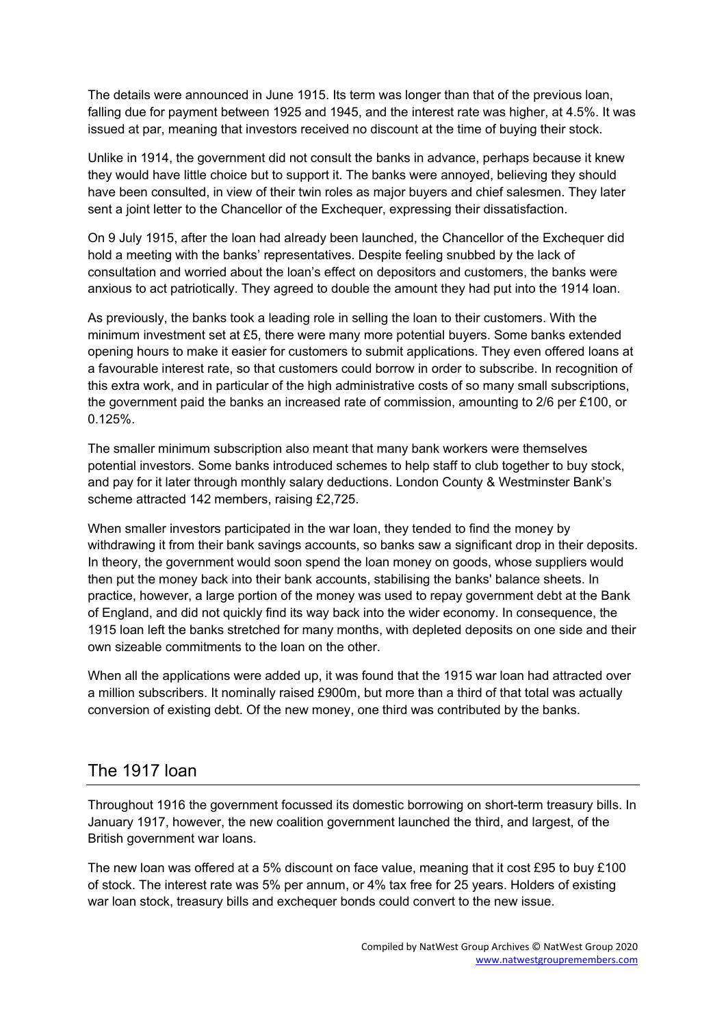The details were announced in June 1915. Its term was longer than that of the previous loan, falling due for payment between 1925 and 1945, and the interest rate was higher, at 4.5%. It was issued at par, meaning that investors received no discount at the time of buying their stock.

Unlike in 1914, the government did not consult the banks in advance, perhaps because it knew they would have little choice but to support it. The banks were annoyed, believing they should have been consulted, in view of their twin roles as major buyers and chief salesmen. They later sent a joint letter to the Chancellor of the Exchequer, expressing their dissatisfaction.

On 9 July 1915, after the loan had already been launched, the Chancellor of the Exchequer did hold a meeting with the banks' representatives. Despite feeling snubbed by the lack of consultation and worried about the loan's effect on depositors and customers, the banks were anxious to act patriotically. They agreed to double the amount they had put into the 1914 loan.

As previously, the banks took a leading role in selling the loan to their customers. With the minimum investment set at £5, there were many more potential buyers. Some banks extended opening hours to make it easier for customers to submit applications. They even offered loans at a favourable interest rate, so that customers could borrow in order to subscribe. In recognition of this extra work, and in particular of the high administrative costs of so many small subscriptions, the government paid the banks an increased rate of commission, amounting to 2/6 per £100, or 0.125%.

The smaller minimum subscription also meant that many bank workers were themselves potential investors. Some banks introduced schemes to help staff to club together to buy stock, and pay for it later through monthly salary deductions. London County & Westminster Bank's scheme attracted 142 members, raising £2,725.

When smaller investors participated in the war loan, they tended to find the money by withdrawing it from their bank savings accounts, so banks saw a significant drop in their deposits. In theory, the government would soon spend the loan money on goods, whose suppliers would then put the money back into their bank accounts, stabilising the banks' balance sheets. In practice, however, a large portion of the money was used to repay government debt at the Bank of England, and did not quickly find its way back into the wider economy. In consequence, the 1915 loan left the banks stretched for many months, with depleted deposits on one side and their own sizeable commitments to the loan on the other.

When all the applications were added up, it was found that the 1915 war loan had attracted over a million subscribers. It nominally raised £900m, but more than a third of that total was actually conversion of existing debt. Of the new money, one third was contributed by the banks.

## The 1917 loan

Throughout 1916 the government focussed its domestic borrowing on short-term treasury bills. In January 1917, however, the new coalition government launched the third, and largest, of the British government war loans.

The new loan was offered at a 5% discount on face value, meaning that it cost £95 to buy £100 of stock. The interest rate was 5% per annum, or 4% tax free for 25 years. Holders of existing war loan stock, treasury bills and exchequer bonds could convert to the new issue.